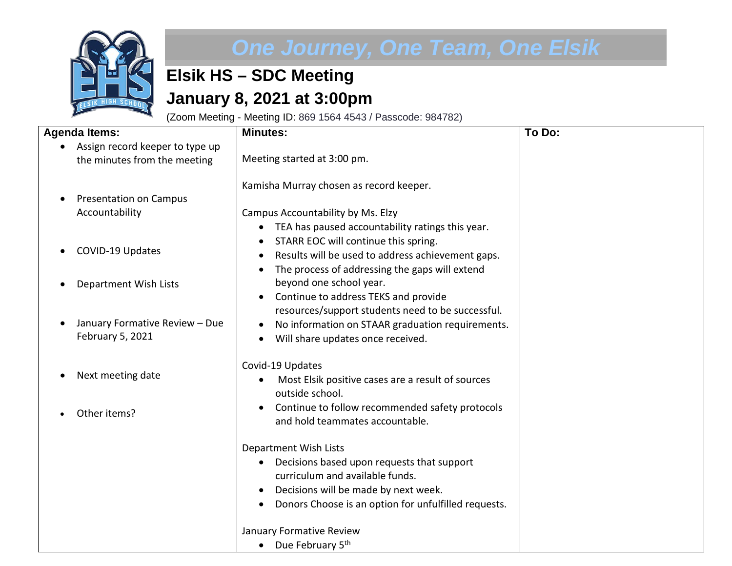

## *One Journey, One Team, One Elsik*

## **Elsik HS – SDC Meeting January 8, 2021 at 3:00pm**

(Zoom Meeting - Meeting ID: 869 1564 4543 / Passcode: 984782)

| <b>Agenda Items:</b>                                            | <b>Minutes:</b>                                                                                                                                                                                                                                                                                                        | To Do: |
|-----------------------------------------------------------------|------------------------------------------------------------------------------------------------------------------------------------------------------------------------------------------------------------------------------------------------------------------------------------------------------------------------|--------|
| Assign record keeper to type up<br>the minutes from the meeting | Meeting started at 3:00 pm.                                                                                                                                                                                                                                                                                            |        |
| <b>Presentation on Campus</b><br>Accountability                 | Kamisha Murray chosen as record keeper.<br>Campus Accountability by Ms. Elzy<br>TEA has paused accountability ratings this year.<br>$\bullet$                                                                                                                                                                          |        |
| COVID-19 Updates                                                | STARR EOC will continue this spring.<br>Results will be used to address achievement gaps.<br>$\bullet$                                                                                                                                                                                                                 |        |
| Department Wish Lists                                           | The process of addressing the gaps will extend<br>$\bullet$<br>beyond one school year.<br>Continue to address TEKS and provide<br>$\bullet$                                                                                                                                                                            |        |
| January Formative Review - Due<br>February 5, 2021              | resources/support students need to be successful.<br>No information on STAAR graduation requirements.<br>$\bullet$<br>Will share updates once received.                                                                                                                                                                |        |
| Next meeting date<br>Other items?                               | Covid-19 Updates<br>Most Elsik positive cases are a result of sources<br>$\bullet$<br>outside school.<br>Continue to follow recommended safety protocols<br>and hold teammates accountable.                                                                                                                            |        |
|                                                                 | Department Wish Lists<br>Decisions based upon requests that support<br>$\bullet$<br>curriculum and available funds.<br>Decisions will be made by next week.<br>$\bullet$<br>Donors Choose is an option for unfulfilled requests.<br>$\bullet$<br>January Formative Review<br>Due February 5 <sup>th</sup><br>$\bullet$ |        |